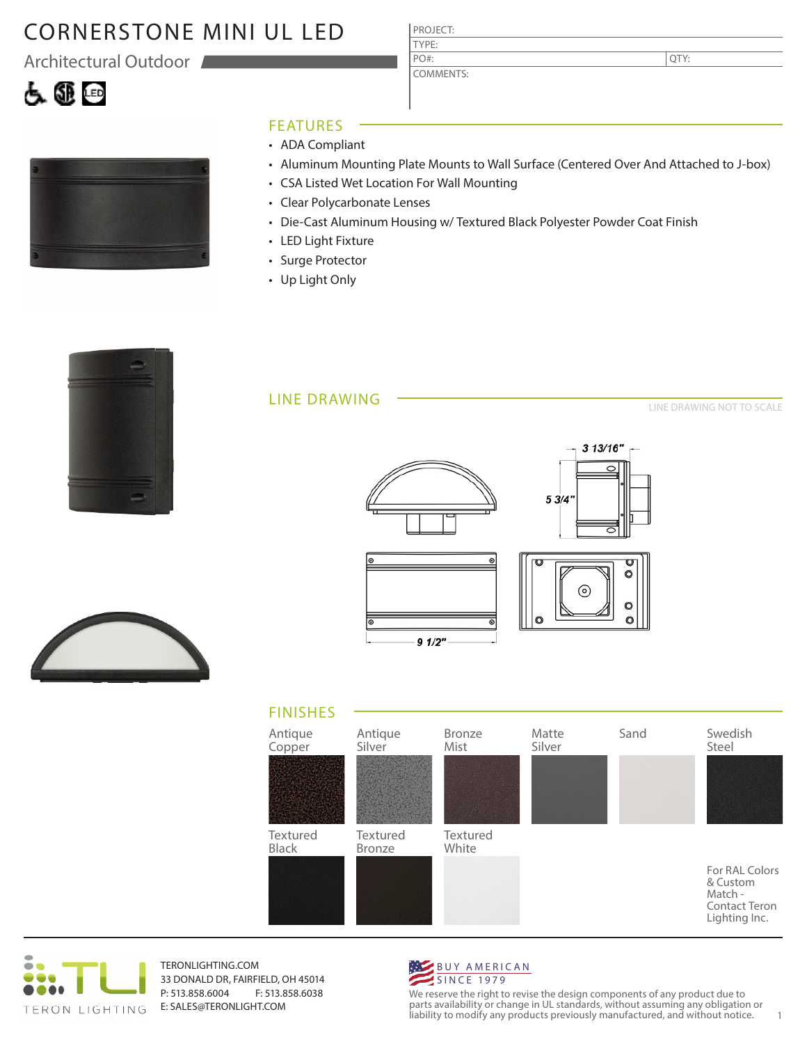# CORNERSTONE MINI UL LED

Architectural Outdoor



|  |  |  | _____ |  |  |  |
|--|--|--|-------|--|--|--|

## FEATURES

- ADA Compliant
- Aluminum Mounting Plate Mounts to Wall Surface (Centered Over And Attached to J-box)
- CSA Listed Wet Location For Wall Mounting

PROJECT: TYPE:

PO#:

COMMENTS:

- Clear Polycarbonate Lenses
- Die-Cast Aluminum Housing w/ Textured Black Polyester Powder Coat Finish
- LED Light Fixture
- Surge Protector
- Up Light Only



### LINE DRAWING

LINE DRAWING NOT TO SCALE

QTY:









TERONLIGHTING.COM 33 DONALD DR, FAIRFIELD, OH 45014 P: 513.858.6004 F: 513.858.6038 E: SALES@TERONLIGHT.COM



We reserve the right to revise the design components of any product due to parts availability or change in UL standards, without assuming any obligation or liability to modify any products previously manufactured, and without notice. 1